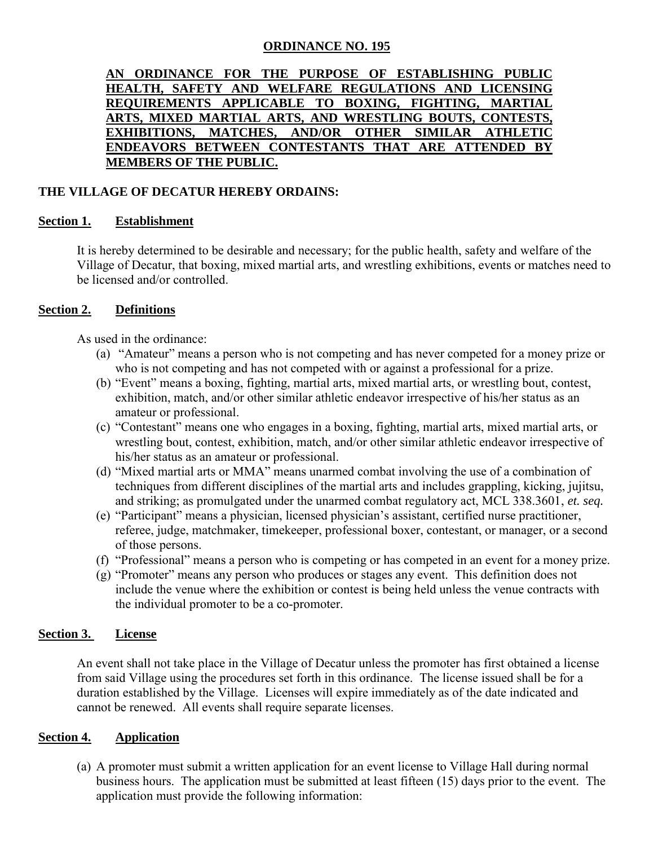## **ORDINANCE NO. 195**

**AN ORDINANCE FOR THE PURPOSE OF ESTABLISHING PUBLIC HEALTH, SAFETY AND WELFARE REGULATIONS AND LICENSING REQUIREMENTS APPLICABLE TO BOXING, FIGHTING, MARTIAL ARTS, MIXED MARTIAL ARTS, AND WRESTLING BOUTS, CONTESTS, EXHIBITIONS, MATCHES, AND/OR OTHER SIMILAR ATHLETIC ENDEAVORS BETWEEN CONTESTANTS THAT ARE ATTENDED BY MEMBERS OF THE PUBLIC.**

## **THE VILLAGE OF DECATUR HEREBY ORDAINS:**

## **Section 1. Establishment**

It is hereby determined to be desirable and necessary; for the public health, safety and welfare of the Village of Decatur, that boxing, mixed martial arts, and wrestling exhibitions, events or matches need to be licensed and/or controlled.

### **Section 2. Definitions**

As used in the ordinance:

- (a) "Amateur" means a person who is not competing and has never competed for a money prize or who is not competing and has not competed with or against a professional for a prize.
- (b) "Event" means a boxing, fighting, martial arts, mixed martial arts, or wrestling bout, contest, exhibition, match, and/or other similar athletic endeavor irrespective of his/her status as an amateur or professional.
- (c) "Contestant" means one who engages in a boxing, fighting, martial arts, mixed martial arts, or wrestling bout, contest, exhibition, match, and/or other similar athletic endeavor irrespective of his/her status as an amateur or professional.
- (d) "Mixed martial arts or MMA" means unarmed combat involving the use of a combination of techniques from different disciplines of the martial arts and includes grappling, kicking, jujitsu, and striking; as promulgated under the unarmed combat regulatory act, MCL 338.3601, *et. seq.*
- (e) "Participant" means a physician, licensed physician's assistant, certified nurse practitioner, referee, judge, matchmaker, timekeeper, professional boxer, contestant, or manager, or a second of those persons.
- (f) "Professional" means a person who is competing or has competed in an event for a money prize.
- (g) "Promoter" means any person who produces or stages any event. This definition does not include the venue where the exhibition or contest is being held unless the venue contracts with the individual promoter to be a co-promoter.

### **Section 3. License**

An event shall not take place in the Village of Decatur unless the promoter has first obtained a license from said Village using the procedures set forth in this ordinance. The license issued shall be for a duration established by the Village. Licenses will expire immediately as of the date indicated and cannot be renewed. All events shall require separate licenses.

### **Section 4. Application**

(a) A promoter must submit a written application for an event license to Village Hall during normal business hours. The application must be submitted at least fifteen (15) days prior to the event. The application must provide the following information: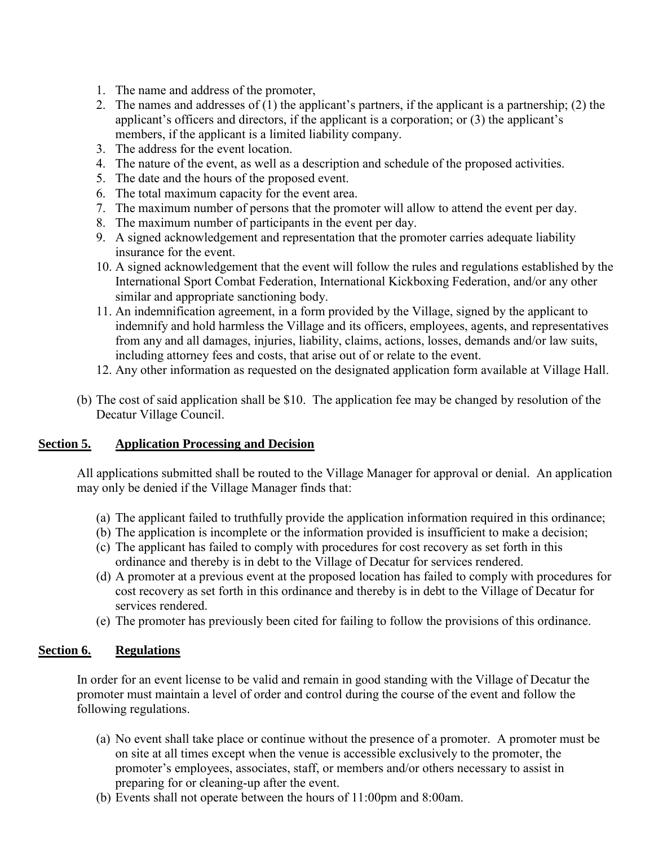- 1. The name and address of the promoter,
- 2. The names and addresses of (1) the applicant's partners, if the applicant is a partnership; (2) the applicant's officers and directors, if the applicant is a corporation; or (3) the applicant's members, if the applicant is a limited liability company.
- 3. The address for the event location.
- 4. The nature of the event, as well as a description and schedule of the proposed activities.
- 5. The date and the hours of the proposed event.
- 6. The total maximum capacity for the event area.
- 7. The maximum number of persons that the promoter will allow to attend the event per day.
- 8. The maximum number of participants in the event per day.
- 9. A signed acknowledgement and representation that the promoter carries adequate liability insurance for the event.
- 10. A signed acknowledgement that the event will follow the rules and regulations established by the International Sport Combat Federation, International Kickboxing Federation, and/or any other similar and appropriate sanctioning body.
- 11. An indemnification agreement, in a form provided by the Village, signed by the applicant to indemnify and hold harmless the Village and its officers, employees, agents, and representatives from any and all damages, injuries, liability, claims, actions, losses, demands and/or law suits, including attorney fees and costs, that arise out of or relate to the event.
- 12. Any other information as requested on the designated application form available at Village Hall.
- (b) The cost of said application shall be \$10. The application fee may be changed by resolution of the Decatur Village Council.

## **Section 5. Application Processing and Decision**

All applications submitted shall be routed to the Village Manager for approval or denial. An application may only be denied if the Village Manager finds that:

- (a) The applicant failed to truthfully provide the application information required in this ordinance;
- (b) The application is incomplete or the information provided is insufficient to make a decision;
- (c) The applicant has failed to comply with procedures for cost recovery as set forth in this ordinance and thereby is in debt to the Village of Decatur for services rendered.
- (d) A promoter at a previous event at the proposed location has failed to comply with procedures for cost recovery as set forth in this ordinance and thereby is in debt to the Village of Decatur for services rendered.
- (e) The promoter has previously been cited for failing to follow the provisions of this ordinance.

# **Section 6. Regulations**

In order for an event license to be valid and remain in good standing with the Village of Decatur the promoter must maintain a level of order and control during the course of the event and follow the following regulations.

- (a) No event shall take place or continue without the presence of a promoter. A promoter must be on site at all times except when the venue is accessible exclusively to the promoter, the promoter's employees, associates, staff, or members and/or others necessary to assist in preparing for or cleaning-up after the event.
- (b) Events shall not operate between the hours of 11:00pm and 8:00am.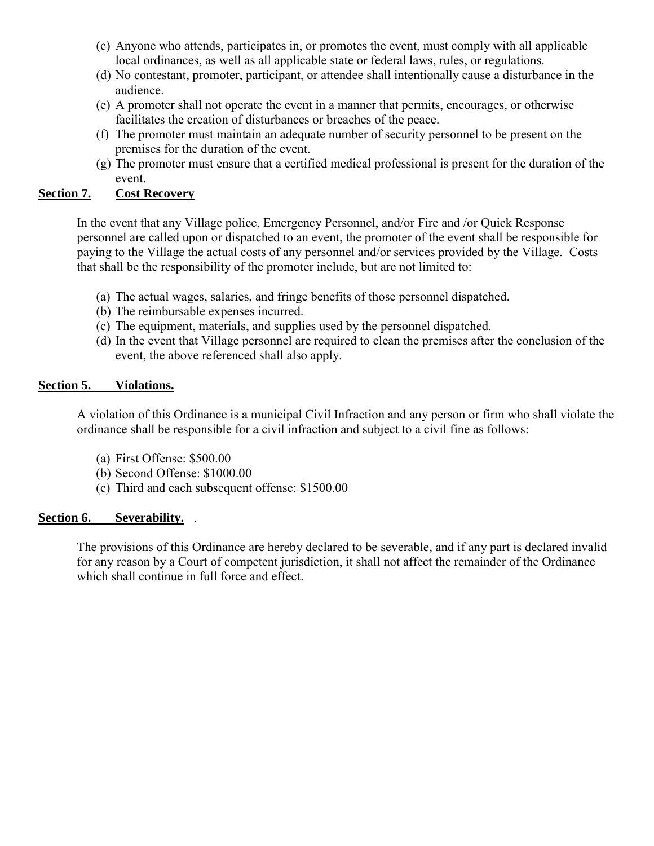- (c) Anyone who attends, participates in, or promotes the event, must comply with all applicable local ordinances, as well as all applicable state or federal laws, rules, or regulations.
- (d) No contestant, promoter, participant, or attendee shall intentionally cause a disturbance in the audience.
- (e) A promoter shall not operate the event in a manner that permits, encourages, or otherwise facilitates the creation of disturbances or breaches of the peace.
- (f) The promoter must maintain an adequate number of security personnel to be present on the premises for the duration of the event.
- (g) The promoter must ensure that a certified medical professional is present for the duration of the event.

## **Section 7. Cost Recovery**

In the event that any Village police, Emergency Personnel, and/or Fire and /or Quick Response personnel are called upon or dispatched to an event, the promoter of the event shall be responsible for paying to the Village the actual costs of any personnel and/or services provided by the Village. Costs that shall be the responsibility of the promoter include, but are not limited to:

- (a) The actual wages, salaries, and fringe benefits of those personnel dispatched.
- (b) The reimbursable expenses incurred.
- (c) The equipment, materials, and supplies used by the personnel dispatched.
- (d) In the event that Village personnel are required to clean the premises after the conclusion of the event, the above referenced shall also apply.

## **Section 5. Violations.**

A violation of this Ordinance is a municipal Civil Infraction and any person or firm who shall violate the ordinance shall be responsible for a civil infraction and subject to a civil fine as follows:

- (a) First Offense: \$500.00
- (b) Second Offense: \$1000.00
- (c) Third and each subsequent offense: \$1500.00

## **Section 6. Severability.** .

The provisions of this Ordinance are hereby declared to be severable, and if any part is declared invalid for any reason by a Court of competent jurisdiction, it shall not affect the remainder of the Ordinance which shall continue in full force and effect.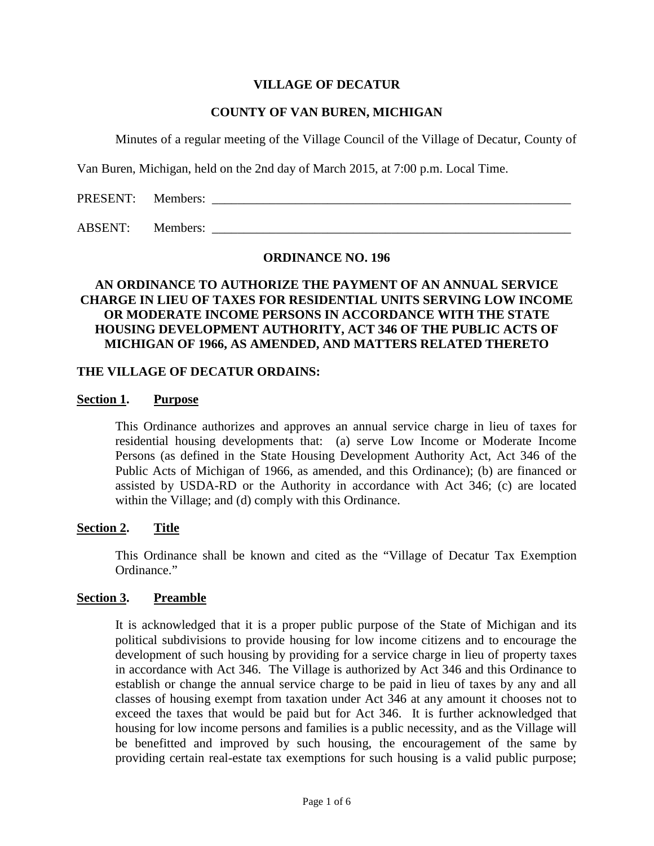## **VILLAGE OF DECATUR**

### **COUNTY OF VAN BUREN, MICHIGAN**

Minutes of a regular meeting of the Village Council of the Village of Decatur, County of

Van Buren, Michigan, held on the 2nd day of March 2015, at 7:00 p.m. Local Time.

PRESENT: Members: \_\_\_\_\_\_\_\_\_\_\_\_\_\_\_\_\_\_\_\_\_\_\_\_\_\_\_\_\_\_\_\_\_\_\_\_\_\_\_\_\_\_\_\_\_\_\_\_\_\_\_\_\_\_\_\_

ABSENT: Members: \_\_\_\_\_\_\_\_\_\_\_\_\_\_\_\_\_\_\_\_\_\_\_\_\_\_\_\_\_\_\_\_\_\_\_\_\_\_\_\_\_\_\_\_\_\_\_\_\_\_\_\_\_\_\_\_

#### **ORDINANCE NO. 196**

## **AN ORDINANCE TO AUTHORIZE THE PAYMENT OF AN ANNUAL SERVICE CHARGE IN LIEU OF TAXES FOR RESIDENTIAL UNITS SERVING LOW INCOME OR MODERATE INCOME PERSONS IN ACCORDANCE WITH THE STATE HOUSING DEVELOPMENT AUTHORITY, ACT 346 OF THE PUBLIC ACTS OF MICHIGAN OF 1966, AS AMENDED, AND MATTERS RELATED THERETO**

#### **THE VILLAGE OF DECATUR ORDAINS:**

#### **Section 1. Purpose**

This Ordinance authorizes and approves an annual service charge in lieu of taxes for residential housing developments that: (a) serve Low Income or Moderate Income Persons (as defined in the State Housing Development Authority Act, Act 346 of the Public Acts of Michigan of 1966, as amended, and this Ordinance); (b) are financed or assisted by USDA-RD or the Authority in accordance with Act 346; (c) are located within the Village; and (d) comply with this Ordinance.

### **Section 2. Title**

This Ordinance shall be known and cited as the "Village of Decatur Tax Exemption Ordinance."

### **Section 3. Preamble**

It is acknowledged that it is a proper public purpose of the State of Michigan and its political subdivisions to provide housing for low income citizens and to encourage the development of such housing by providing for a service charge in lieu of property taxes in accordance with Act 346. The Village is authorized by Act 346 and this Ordinance to establish or change the annual service charge to be paid in lieu of taxes by any and all classes of housing exempt from taxation under Act 346 at any amount it chooses not to exceed the taxes that would be paid but for Act 346. It is further acknowledged that housing for low income persons and families is a public necessity, and as the Village will be benefitted and improved by such housing, the encouragement of the same by providing certain real-estate tax exemptions for such housing is a valid public purpose;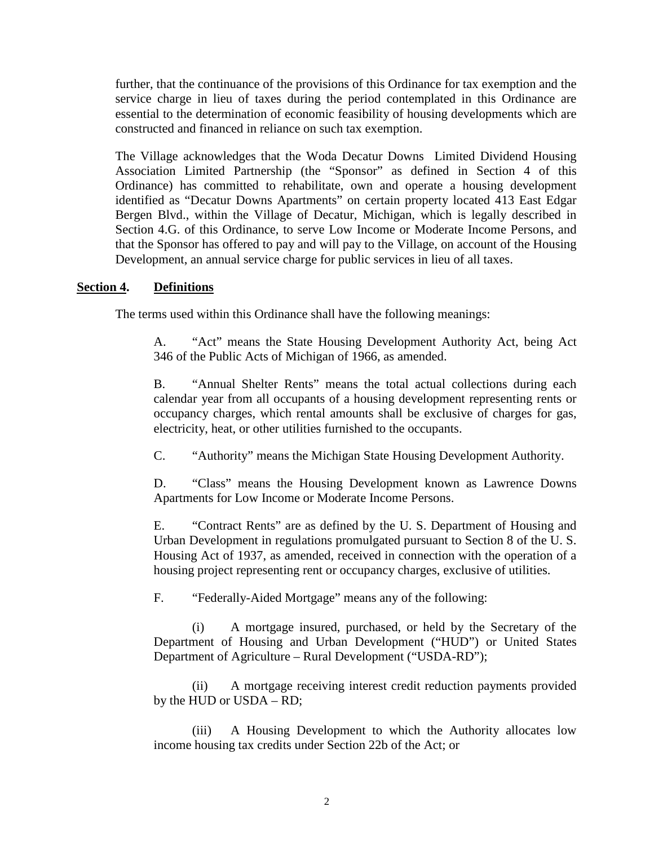further, that the continuance of the provisions of this Ordinance for tax exemption and the service charge in lieu of taxes during the period contemplated in this Ordinance are essential to the determination of economic feasibility of housing developments which are constructed and financed in reliance on such tax exemption.

The Village acknowledges that the Woda Decatur Downs Limited Dividend Housing Association Limited Partnership (the "Sponsor" as defined in Section 4 of this Ordinance) has committed to rehabilitate, own and operate a housing development identified as "Decatur Downs Apartments" on certain property located 413 East Edgar Bergen Blvd., within the Village of Decatur, Michigan, which is legally described in Section 4.G. of this Ordinance, to serve Low Income or Moderate Income Persons, and that the Sponsor has offered to pay and will pay to the Village, on account of the Housing Development, an annual service charge for public services in lieu of all taxes.

## **Section 4. Definitions**

The terms used within this Ordinance shall have the following meanings:

A. "Act" means the State Housing Development Authority Act, being Act 346 of the Public Acts of Michigan of 1966, as amended.

B. "Annual Shelter Rents" means the total actual collections during each calendar year from all occupants of a housing development representing rents or occupancy charges, which rental amounts shall be exclusive of charges for gas, electricity, heat, or other utilities furnished to the occupants.

C. "Authority" means the Michigan State Housing Development Authority.

D. "Class" means the Housing Development known as Lawrence Downs Apartments for Low Income or Moderate Income Persons.

E. "Contract Rents" are as defined by the U. S. Department of Housing and Urban Development in regulations promulgated pursuant to Section 8 of the U. S. Housing Act of 1937, as amended, received in connection with the operation of a housing project representing rent or occupancy charges, exclusive of utilities.

F. "Federally-Aided Mortgage" means any of the following:

(i) A mortgage insured, purchased, or held by the Secretary of the Department of Housing and Urban Development ("HUD") or United States Department of Agriculture – Rural Development ("USDA-RD");

(ii) A mortgage receiving interest credit reduction payments provided by the HUD or USDA – RD;

(iii) A Housing Development to which the Authority allocates low income housing tax credits under Section 22b of the Act; or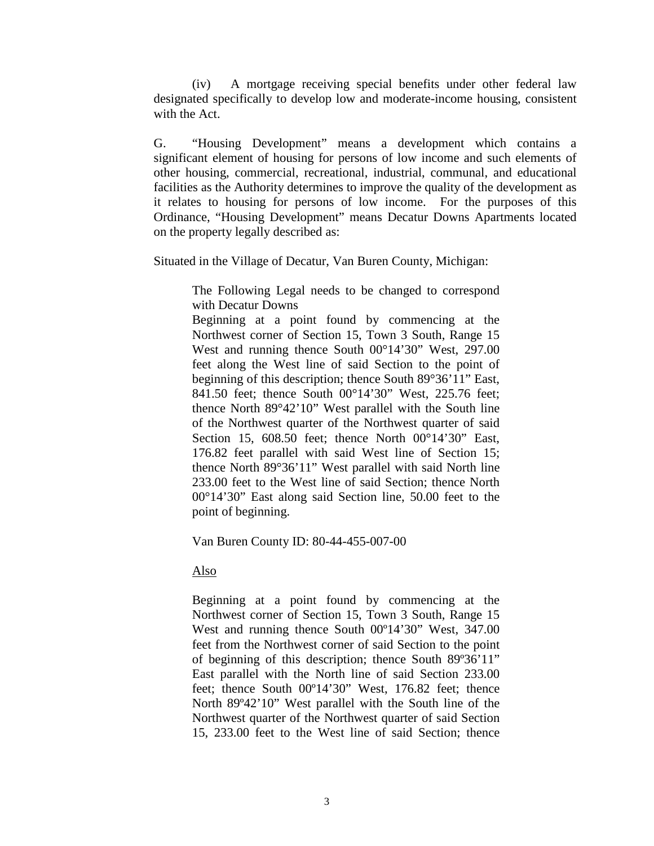(iv) A mortgage receiving special benefits under other federal law designated specifically to develop low and moderate-income housing, consistent with the Act.

G. "Housing Development" means a development which contains a significant element of housing for persons of low income and such elements of other housing, commercial, recreational, industrial, communal, and educational facilities as the Authority determines to improve the quality of the development as it relates to housing for persons of low income. For the purposes of this Ordinance, "Housing Development" means Decatur Downs Apartments located on the property legally described as:

Situated in the Village of Decatur, Van Buren County, Michigan:

The Following Legal needs to be changed to correspond with Decatur Downs

Beginning at a point found by commencing at the Northwest corner of Section 15, Town 3 South, Range 15 West and running thence South 00°14'30" West, 297.00 feet along the West line of said Section to the point of beginning of this description; thence South 89°36'11" East, 841.50 feet; thence South 00°14'30" West, 225.76 feet; thence North 89°42'10" West parallel with the South line of the Northwest quarter of the Northwest quarter of said Section 15, 608.50 feet; thence North 00°14'30" East, 176.82 feet parallel with said West line of Section 15; thence North 89°36'11" West parallel with said North line 233.00 feet to the West line of said Section; thence North 00°14'30" East along said Section line, 50.00 feet to the point of beginning.

Van Buren County ID: 80-44-455-007-00

Also

Beginning at a point found by commencing at the Northwest corner of Section 15, Town 3 South, Range 15 West and running thence South 00º14'30" West, 347.00 feet from the Northwest corner of said Section to the point of beginning of this description; thence South 89º36'11" East parallel with the North line of said Section 233.00 feet; thence South 00º14'30" West, 176.82 feet; thence North 89º42'10" West parallel with the South line of the Northwest quarter of the Northwest quarter of said Section 15, 233.00 feet to the West line of said Section; thence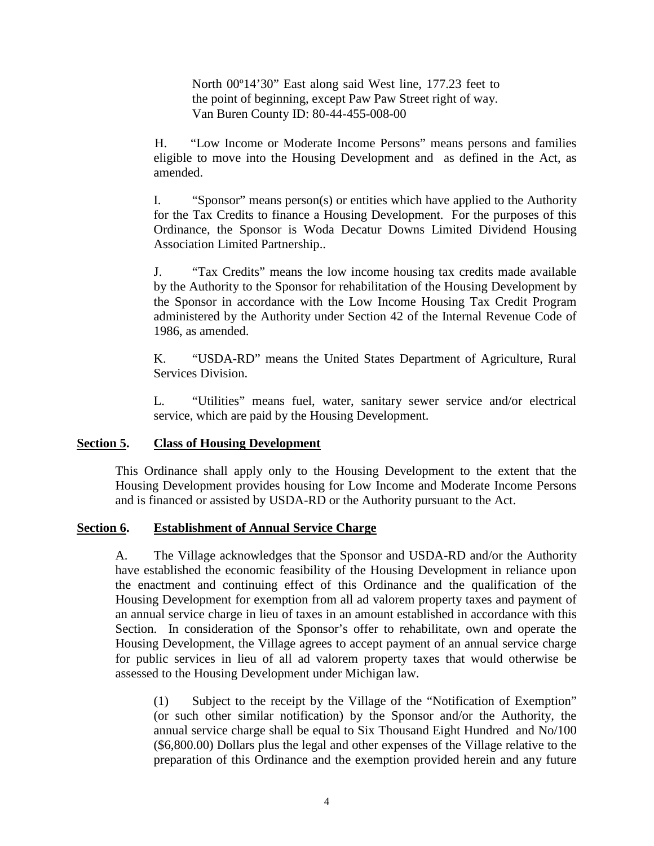North 00º14'30" East along said West line, 177.23 feet to the point of beginning, except Paw Paw Street right of way. Van Buren County ID: 80-44-455-008-00

 H. "Low Income or Moderate Income Persons" means persons and families eligible to move into the Housing Development and as defined in the Act, as amended.

I. "Sponsor" means person(s) or entities which have applied to the Authority for the Tax Credits to finance a Housing Development. For the purposes of this Ordinance, the Sponsor is Woda Decatur Downs Limited Dividend Housing Association Limited Partnership..

J. "Tax Credits" means the low income housing tax credits made available by the Authority to the Sponsor for rehabilitation of the Housing Development by the Sponsor in accordance with the Low Income Housing Tax Credit Program administered by the Authority under Section 42 of the Internal Revenue Code of 1986, as amended.

K. "USDA-RD" means the United States Department of Agriculture, Rural Services Division.

L. "Utilities" means fuel, water, sanitary sewer service and/or electrical service, which are paid by the Housing Development.

### **Section 5. Class of Housing Development**

This Ordinance shall apply only to the Housing Development to the extent that the Housing Development provides housing for Low Income and Moderate Income Persons and is financed or assisted by USDA-RD or the Authority pursuant to the Act.

### **Section 6. Establishment of Annual Service Charge**

A. The Village acknowledges that the Sponsor and USDA-RD and/or the Authority have established the economic feasibility of the Housing Development in reliance upon the enactment and continuing effect of this Ordinance and the qualification of the Housing Development for exemption from all ad valorem property taxes and payment of an annual service charge in lieu of taxes in an amount established in accordance with this Section. In consideration of the Sponsor's offer to rehabilitate, own and operate the Housing Development, the Village agrees to accept payment of an annual service charge for public services in lieu of all ad valorem property taxes that would otherwise be assessed to the Housing Development under Michigan law.

(1) Subject to the receipt by the Village of the "Notification of Exemption" (or such other similar notification) by the Sponsor and/or the Authority, the annual service charge shall be equal to Six Thousand Eight Hundred and No/100 (\$6,800.00) Dollars plus the legal and other expenses of the Village relative to the preparation of this Ordinance and the exemption provided herein and any future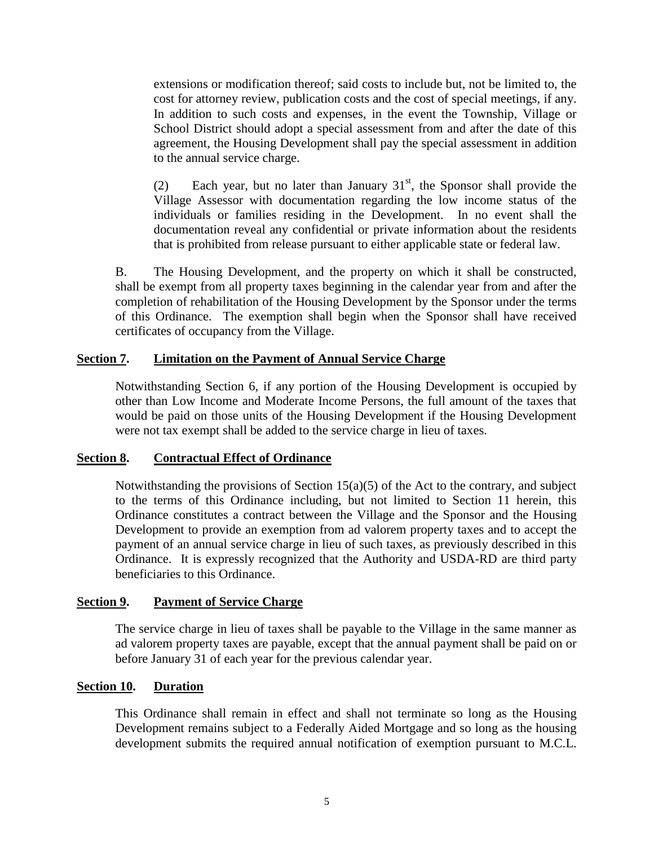extensions or modification thereof; said costs to include but, not be limited to, the cost for attorney review, publication costs and the cost of special meetings, if any. In addition to such costs and expenses, in the event the Township, Village or School District should adopt a special assessment from and after the date of this agreement, the Housing Development shall pay the special assessment in addition to the annual service charge.

(2) Each year, but no later than January  $31<sup>st</sup>$ , the Sponsor shall provide the Village Assessor with documentation regarding the low income status of the individuals or families residing in the Development. In no event shall the documentation reveal any confidential or private information about the residents that is prohibited from release pursuant to either applicable state or federal law.

B. The Housing Development, and the property on which it shall be constructed, shall be exempt from all property taxes beginning in the calendar year from and after the completion of rehabilitation of the Housing Development by the Sponsor under the terms of this Ordinance. The exemption shall begin when the Sponsor shall have received certificates of occupancy from the Village.

## **Section 7. Limitation on the Payment of Annual Service Charge**

Notwithstanding Section 6, if any portion of the Housing Development is occupied by other than Low Income and Moderate Income Persons, the full amount of the taxes that would be paid on those units of the Housing Development if the Housing Development were not tax exempt shall be added to the service charge in lieu of taxes.

### **Section 8. Contractual Effect of Ordinance**

Notwithstanding the provisions of Section  $15(a)(5)$  of the Act to the contrary, and subject to the terms of this Ordinance including, but not limited to Section 11 herein, this Ordinance constitutes a contract between the Village and the Sponsor and the Housing Development to provide an exemption from ad valorem property taxes and to accept the payment of an annual service charge in lieu of such taxes, as previously described in this Ordinance. It is expressly recognized that the Authority and USDA-RD are third party beneficiaries to this Ordinance.

### **Section 9. Payment of Service Charge**

The service charge in lieu of taxes shall be payable to the Village in the same manner as ad valorem property taxes are payable, except that the annual payment shall be paid on or before January 31 of each year for the previous calendar year.

### **Section 10. Duration**

This Ordinance shall remain in effect and shall not terminate so long as the Housing Development remains subject to a Federally Aided Mortgage and so long as the housing development submits the required annual notification of exemption pursuant to M.C.L.